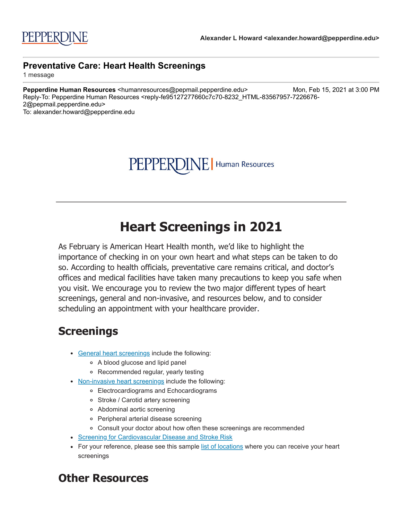PEPPERDINE | Human Resources

## **Heart Screenings in 2021**

As February is American Heart Health month, we'd like to highlight the importance of checking in on your own heart and what steps can be taken to do so. According to health officials, preventative care remains critical, and doctor's offices and medical facilities have taken many precautions to keep you safe when you visit. We encourage you to review the two major different types of heart screenings, general and non-invasive, and resources below, and to consider scheduling an appointment with your healthcare provider.

## **Screenings**

- [General heart screenings](http://click.pepmail.pepperdine.edu/?qs=7aa28bc27eca02dbb5a65715bf003eb5be8302b3101d313bad7e984cbdad442ed8ebd06956acf8f369f8c7d620bdcc43abba6f3af77e3e2b) include the following:
	- A blood glucose and lipid panel
	- Recommended regular, yearly testing
- [Non-invasive heart screenings](http://click.pepmail.pepperdine.edu/?qs=7aa28bc27eca02dbd65cd5eba0f18962f9a659e115b4924b5dad126f462f3dd89e7c52448a24c39a6694a4b41575a6e8056fe7525f0e348e) include the following:
	- Electrocardiograms and Echocardiograms
	- Stroke / Carotid artery screening
	- Abdominal aortic screening
	- Peripheral arterial disease screening
	- Consult your doctor about how often these screenings are recommended
- [Screening for Cardiovascular Disease and Stroke Risk](http://click.pepmail.pepperdine.edu/?qs=7aa28bc27eca02dbd87e1f478ea29f4acc71493392812bf673b8e86c7403c4110aa3d42ece0ae226368e6c0e827b58e5870dcb462f893e71)
- For your reference, please see this sample [list of locations](http://click.pepmail.pepperdine.edu/?qs=7aa28bc27eca02dbdd3438de6dcdd2e5a6e635882db4be017c9a88db1152d6dd3c21250ee8eb27194168c836fe61df308f2aede62cb6811a) where you can receive your heart screenings

## **Other Resources**